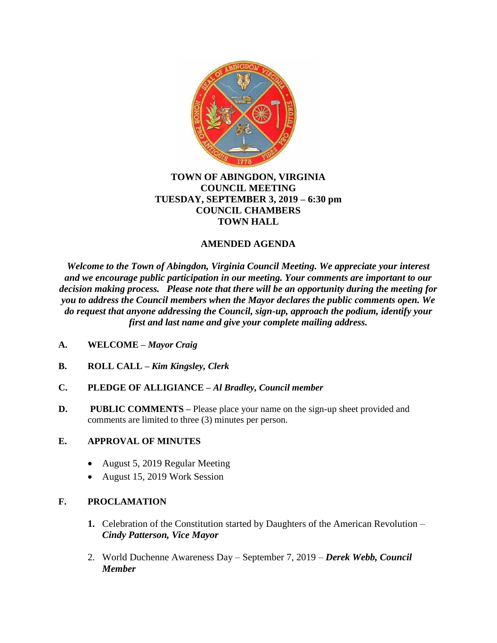

#### **TOWN OF ABINGDON, VIRGINIA COUNCIL MEETING TUESDAY, SEPTEMBER 3, 2019 – 6:30 pm COUNCIL CHAMBERS TOWN HALL**

## **AMENDED AGENDA**

*Welcome to the Town of Abingdon, Virginia Council Meeting. We appreciate your interest and we encourage public participation in our meeting. Your comments are important to our decision making process. Please note that there will be an opportunity during the meeting for you to address the Council members when the Mayor declares the public comments open. We do request that anyone addressing the Council, sign-up, approach the podium, identify your first and last name and give your complete mailing address.*

- **A. WELCOME –** *Mayor Craig*
- **B. ROLL CALL –** *Kim Kingsley, Clerk*
- **C. PLEDGE OF ALLIGIANCE –** *Al Bradley, Council member*
- **D. PUBLIC COMMENTS** Please place your name on the sign-up sheet provided and comments are limited to three (3) minutes per person.

### **E. APPROVAL OF MINUTES**

- August 5, 2019 Regular Meeting
- August 15, 2019 Work Session

### **F. PROCLAMATION**

- **1.** Celebration of the Constitution started by Daughters of the American Revolution *Cindy Patterson, Vice Mayor*
- 2. World Duchenne Awareness Day September 7, 2019 *Derek Webb, Council Member*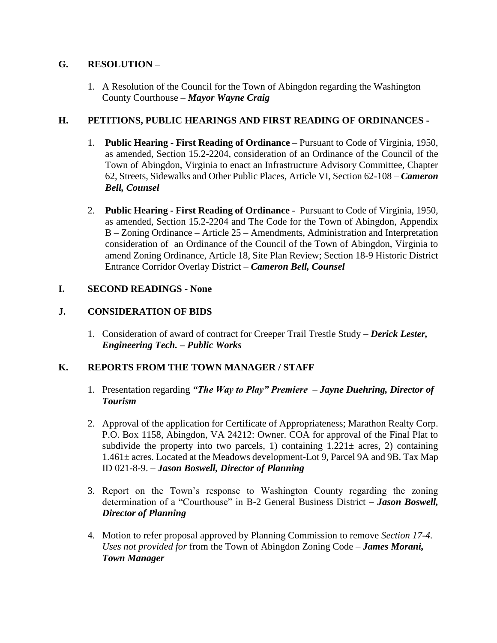# **G. RESOLUTION –**

1. A Resolution of the Council for the Town of Abingdon regarding the Washington County Courthouse – *Mayor Wayne Craig*

## **H. PETITIONS, PUBLIC HEARINGS AND FIRST READING OF ORDINANCES -**

- 1. **Public Hearing - First Reading of Ordinance** Pursuant to Code of Virginia, 1950, as amended, Section 15.2-2204, consideration of an Ordinance of the Council of the Town of Abingdon, Virginia to enact an Infrastructure Advisory Committee, Chapter 62, Streets, Sidewalks and Other Public Places, Article VI, Section 62-108 – *Cameron Bell, Counsel*
- 2. **Public Hearing - First Reading of Ordinance** Pursuant to Code of Virginia, 1950, as amended, Section 15.2-2204 and The Code for the Town of Abingdon, Appendix B – Zoning Ordinance – Article 25 – Amendments, Administration and Interpretation consideration of an Ordinance of the Council of the Town of Abingdon, Virginia to amend Zoning Ordinance, Article 18, Site Plan Review; Section 18-9 Historic District Entrance Corridor Overlay District – *Cameron Bell, Counsel*

### **I. SECOND READINGS - None**

## **J. CONSIDERATION OF BIDS**

1. Consideration of award of contract for Creeper Trail Trestle Study – *Derick Lester, Engineering Tech. – Public Works*

### **K. REPORTS FROM THE TOWN MANAGER / STAFF**

- 1. Presentation regarding *"The Way to Play" Premiere Jayne Duehring, Director of Tourism*
- 2. Approval of the application for Certificate of Appropriateness; Marathon Realty Corp. P.O. Box 1158, Abingdon, VA 24212: Owner. COA for approval of the Final Plat to subdivide the property into two parcels, 1) containing  $1.221 \pm \text{ acres}$ , 2) containing 1.461± acres. Located at the Meadows development-Lot 9, Parcel 9A and 9B. Tax Map ID 021-8-9. – *Jason Boswell, Director of Planning*
- 3. Report on the Town's response to Washington County regarding the zoning determination of a "Courthouse" in B-2 General Business District – *Jason Boswell, Director of Planning*
- 4. Motion to refer proposal approved by Planning Commission to remove *Section 17-4. Uses not provided for* from the Town of Abingdon Zoning Code – *James Morani, Town Manager*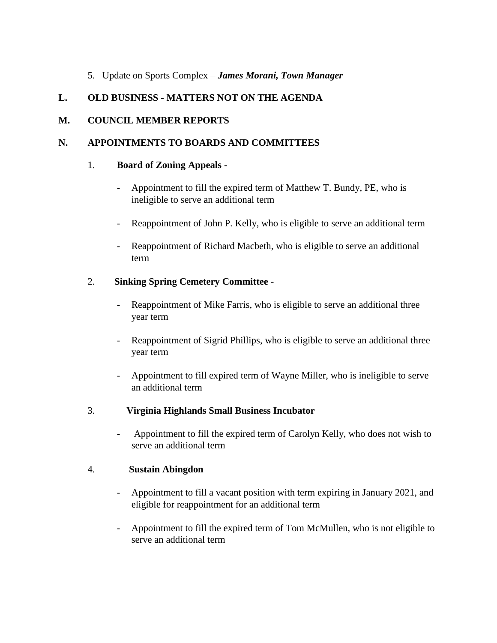### 5. Update on Sports Complex – *James Morani, Town Manager*

## **L. OLD BUSINESS - MATTERS NOT ON THE AGENDA**

### **M. COUNCIL MEMBER REPORTS**

### **N. APPOINTMENTS TO BOARDS AND COMMITTEES**

#### 1. **Board of Zoning Appeals -**

- Appointment to fill the expired term of Matthew T. Bundy, PE, who is ineligible to serve an additional term
- Reappointment of John P. Kelly, who is eligible to serve an additional term
- Reappointment of Richard Macbeth, who is eligible to serve an additional term

### 2. **Sinking Spring Cemetery Committee** -

- Reappointment of Mike Farris, who is eligible to serve an additional three year term
- Reappointment of Sigrid Phillips, who is eligible to serve an additional three year term
- Appointment to fill expired term of Wayne Miller, who is ineligible to serve an additional term

### 3. **Virginia Highlands Small Business Incubator**

- Appointment to fill the expired term of Carolyn Kelly, who does not wish to serve an additional term

### 4. **Sustain Abingdon**

- Appointment to fill a vacant position with term expiring in January 2021, and eligible for reappointment for an additional term
- Appointment to fill the expired term of Tom McMullen, who is not eligible to serve an additional term